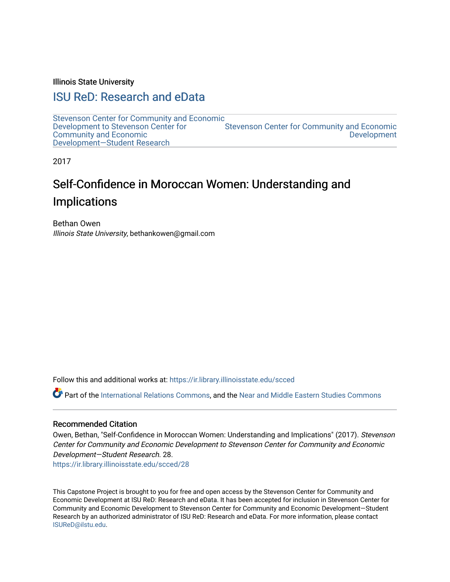Illinois State University

# [ISU ReD: Research and eData](https://ir.library.illinoisstate.edu/)

[Stevenson Center for Community and Economic](https://ir.library.illinoisstate.edu/scced)  [Development to Stevenson Center for](https://ir.library.illinoisstate.edu/scced)  [Community and Economic](https://ir.library.illinoisstate.edu/scced)  [Development—Student Research](https://ir.library.illinoisstate.edu/scced)  [Stevenson Center for Community and Economic](https://ir.library.illinoisstate.edu/stvc)  [Development](https://ir.library.illinoisstate.edu/stvc) 

2017

# Self-Confidence in Moroccan Women: Understanding and **Implications**

Bethan Owen Illinois State University, bethankowen@gmail.com

Follow this and additional works at: [https://ir.library.illinoisstate.edu/scced](https://ir.library.illinoisstate.edu/scced?utm_source=ir.library.illinoisstate.edu%2Fscced%2F28&utm_medium=PDF&utm_campaign=PDFCoverPages)

Part of the [International Relations Commons,](http://network.bepress.com/hgg/discipline/389?utm_source=ir.library.illinoisstate.edu%2Fscced%2F28&utm_medium=PDF&utm_campaign=PDFCoverPages) and the [Near and Middle Eastern Studies Commons](http://network.bepress.com/hgg/discipline/1308?utm_source=ir.library.illinoisstate.edu%2Fscced%2F28&utm_medium=PDF&utm_campaign=PDFCoverPages)

#### Recommended Citation

Owen, Bethan, "Self-Confidence in Moroccan Women: Understanding and Implications" (2017). Stevenson Center for Community and Economic Development to Stevenson Center for Community and Economic Development—Student Research. 28.

[https://ir.library.illinoisstate.edu/scced/28](https://ir.library.illinoisstate.edu/scced/28?utm_source=ir.library.illinoisstate.edu%2Fscced%2F28&utm_medium=PDF&utm_campaign=PDFCoverPages) 

This Capstone Project is brought to you for free and open access by the Stevenson Center for Community and Economic Development at ISU ReD: Research and eData. It has been accepted for inclusion in Stevenson Center for Community and Economic Development to Stevenson Center for Community and Economic Development—Student Research by an authorized administrator of ISU ReD: Research and eData. For more information, please contact [ISUReD@ilstu.edu](mailto:ISUReD@ilstu.edu).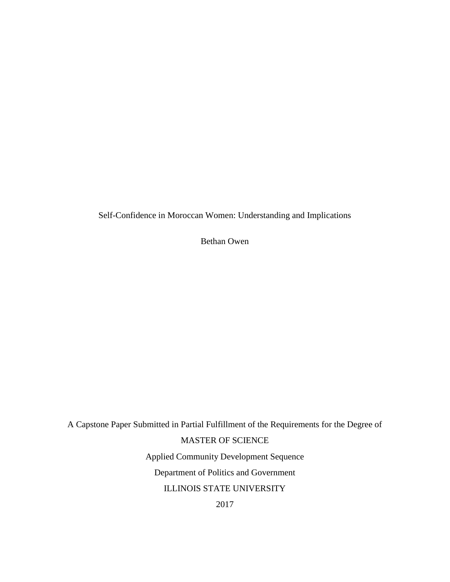Self-Confidence in Moroccan Women: Understanding and Implications

Bethan Owen

A Capstone Paper Submitted in Partial Fulfillment of the Requirements for the Degree of MASTER OF SCIENCE Applied Community Development Sequence Department of Politics and Government ILLINOIS STATE UNIVERSITY 2017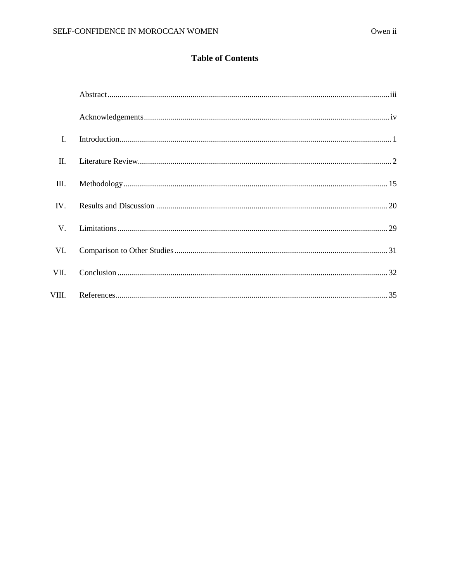# **Table of Contents**

| $\mathbf{I}$ . |  |
|----------------|--|
| $\Pi$ .        |  |
| III.           |  |
| IV.            |  |
| $V_{\cdot}$    |  |
| VI.            |  |
| VII.           |  |
| VIII.          |  |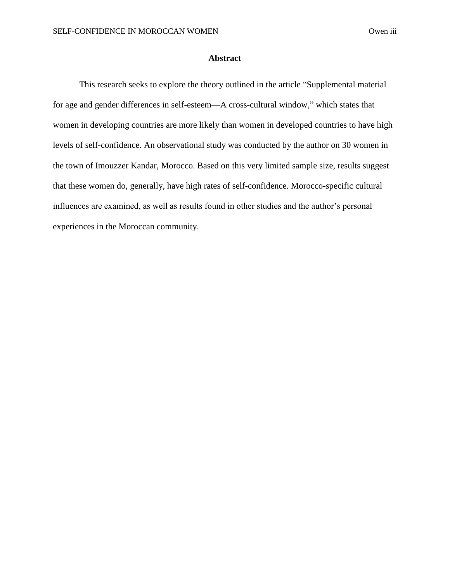#### **Abstract**

This research seeks to explore the theory outlined in the article "Supplemental material for age and gender differences in self-esteem—A cross-cultural window," which states that women in developing countries are more likely than women in developed countries to have high levels of self-confidence. An observational study was conducted by the author on 30 women in the town of Imouzzer Kandar, Morocco. Based on this very limited sample size, results suggest that these women do, generally, have high rates of self-confidence. Morocco-specific cultural influences are examined, as well as results found in other studies and the author's personal experiences in the Moroccan community.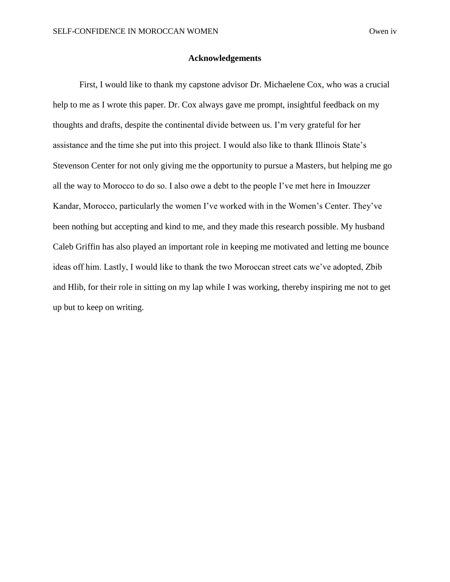#### **Acknowledgements**

First, I would like to thank my capstone advisor Dr. Michaelene Cox, who was a crucial help to me as I wrote this paper. Dr. Cox always gave me prompt, insightful feedback on my thoughts and drafts, despite the continental divide between us. I'm very grateful for her assistance and the time she put into this project. I would also like to thank Illinois State's Stevenson Center for not only giving me the opportunity to pursue a Masters, but helping me go all the way to Morocco to do so. I also owe a debt to the people I've met here in Imouzzer Kandar, Morocco, particularly the women I've worked with in the Women's Center. They've been nothing but accepting and kind to me, and they made this research possible. My husband Caleb Griffin has also played an important role in keeping me motivated and letting me bounce ideas off him. Lastly, I would like to thank the two Moroccan street cats we've adopted, Zbib and Hlib, for their role in sitting on my lap while I was working, thereby inspiring me not to get up but to keep on writing.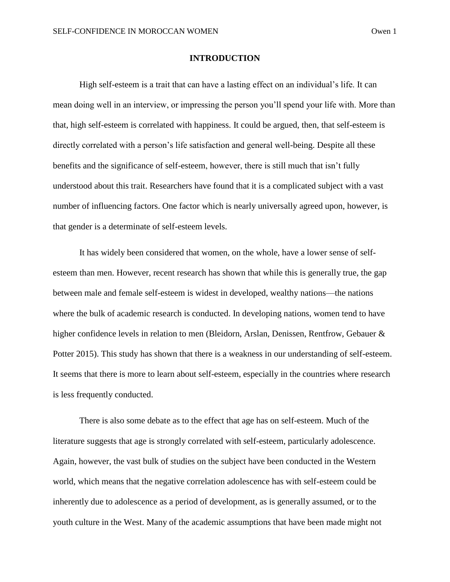#### **INTRODUCTION**

High self-esteem is a trait that can have a lasting effect on an individual's life. It can mean doing well in an interview, or impressing the person you'll spend your life with. More than that, high self-esteem is correlated with happiness. It could be argued, then, that self-esteem is directly correlated with a person's life satisfaction and general well-being. Despite all these benefits and the significance of self-esteem, however, there is still much that isn't fully understood about this trait. Researchers have found that it is a complicated subject with a vast number of influencing factors. One factor which is nearly universally agreed upon, however, is that gender is a determinate of self-esteem levels.

It has widely been considered that women, on the whole, have a lower sense of selfesteem than men. However, recent research has shown that while this is generally true, the gap between male and female self-esteem is widest in developed, wealthy nations—the nations where the bulk of academic research is conducted. In developing nations, women tend to have higher confidence levels in relation to men (Bleidorn, Arslan, Denissen, Rentfrow, Gebauer & Potter 2015). This study has shown that there is a weakness in our understanding of self-esteem. It seems that there is more to learn about self-esteem, especially in the countries where research is less frequently conducted.

There is also some debate as to the effect that age has on self-esteem. Much of the literature suggests that age is strongly correlated with self-esteem, particularly adolescence. Again, however, the vast bulk of studies on the subject have been conducted in the Western world, which means that the negative correlation adolescence has with self-esteem could be inherently due to adolescence as a period of development, as is generally assumed, or to the youth culture in the West. Many of the academic assumptions that have been made might not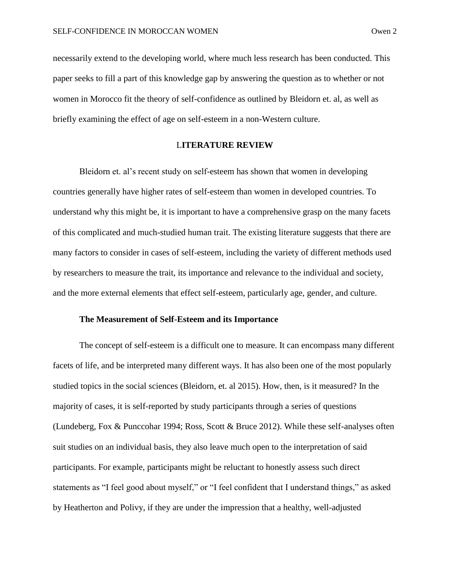necessarily extend to the developing world, where much less research has been conducted. This paper seeks to fill a part of this knowledge gap by answering the question as to whether or not women in Morocco fit the theory of self-confidence as outlined by Bleidorn et. al, as well as briefly examining the effect of age on self-esteem in a non-Western culture.

## L**ITERATURE REVIEW**

Bleidorn et. al's recent study on self-esteem has shown that women in developing countries generally have higher rates of self-esteem than women in developed countries. To understand why this might be, it is important to have a comprehensive grasp on the many facets of this complicated and much-studied human trait. The existing literature suggests that there are many factors to consider in cases of self-esteem, including the variety of different methods used by researchers to measure the trait, its importance and relevance to the individual and society, and the more external elements that effect self-esteem, particularly age, gender, and culture.

### **The Measurement of Self-Esteem and its Importance**

The concept of self-esteem is a difficult one to measure. It can encompass many different facets of life, and be interpreted many different ways. It has also been one of the most popularly studied topics in the social sciences (Bleidorn, et. al 2015). How, then, is it measured? In the majority of cases, it is self-reported by study participants through a series of questions (Lundeberg, Fox & Punccohar 1994; Ross, Scott & Bruce 2012). While these self-analyses often suit studies on an individual basis, they also leave much open to the interpretation of said participants. For example, participants might be reluctant to honestly assess such direct statements as "I feel good about myself," or "I feel confident that I understand things," as asked by Heatherton and Polivy, if they are under the impression that a healthy, well-adjusted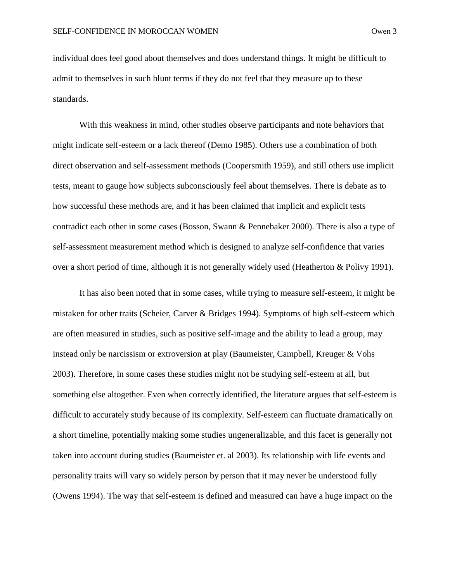individual does feel good about themselves and does understand things. It might be difficult to admit to themselves in such blunt terms if they do not feel that they measure up to these standards.

With this weakness in mind, other studies observe participants and note behaviors that might indicate self-esteem or a lack thereof (Demo 1985). Others use a combination of both direct observation and self-assessment methods (Coopersmith 1959), and still others use implicit tests, meant to gauge how subjects subconsciously feel about themselves. There is debate as to how successful these methods are, and it has been claimed that implicit and explicit tests contradict each other in some cases (Bosson, Swann & Pennebaker 2000). There is also a type of self-assessment measurement method which is designed to analyze self-confidence that varies over a short period of time, although it is not generally widely used (Heatherton & Polivy 1991).

It has also been noted that in some cases, while trying to measure self-esteem, it might be mistaken for other traits (Scheier, Carver & Bridges 1994). Symptoms of high self-esteem which are often measured in studies, such as positive self-image and the ability to lead a group, may instead only be narcissism or extroversion at play (Baumeister, Campbell, Kreuger & Vohs 2003). Therefore, in some cases these studies might not be studying self-esteem at all, but something else altogether. Even when correctly identified, the literature argues that self-esteem is difficult to accurately study because of its complexity. Self-esteem can fluctuate dramatically on a short timeline, potentially making some studies ungeneralizable, and this facet is generally not taken into account during studies (Baumeister et. al 2003). Its relationship with life events and personality traits will vary so widely person by person that it may never be understood fully (Owens 1994). The way that self-esteem is defined and measured can have a huge impact on the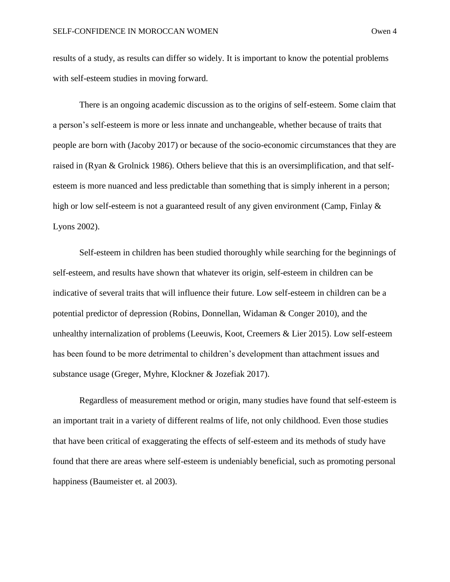results of a study, as results can differ so widely. It is important to know the potential problems with self-esteem studies in moving forward.

There is an ongoing academic discussion as to the origins of self-esteem. Some claim that a person's self-esteem is more or less innate and unchangeable, whether because of traits that people are born with (Jacoby 2017) or because of the socio-economic circumstances that they are raised in (Ryan & Grolnick 1986). Others believe that this is an oversimplification, and that selfesteem is more nuanced and less predictable than something that is simply inherent in a person; high or low self-esteem is not a guaranteed result of any given environment (Camp, Finlay & Lyons 2002).

Self-esteem in children has been studied thoroughly while searching for the beginnings of self-esteem, and results have shown that whatever its origin, self-esteem in children can be indicative of several traits that will influence their future. Low self-esteem in children can be a potential predictor of depression (Robins, Donnellan, Widaman & Conger 2010), and the unhealthy internalization of problems (Leeuwis, Koot, Creemers & Lier 2015). Low self-esteem has been found to be more detrimental to children's development than attachment issues and substance usage (Greger, Myhre, Klockner & Jozefiak 2017).

Regardless of measurement method or origin, many studies have found that self-esteem is an important trait in a variety of different realms of life, not only childhood. Even those studies that have been critical of exaggerating the effects of self-esteem and its methods of study have found that there are areas where self-esteem is undeniably beneficial, such as promoting personal happiness (Baumeister et. al 2003).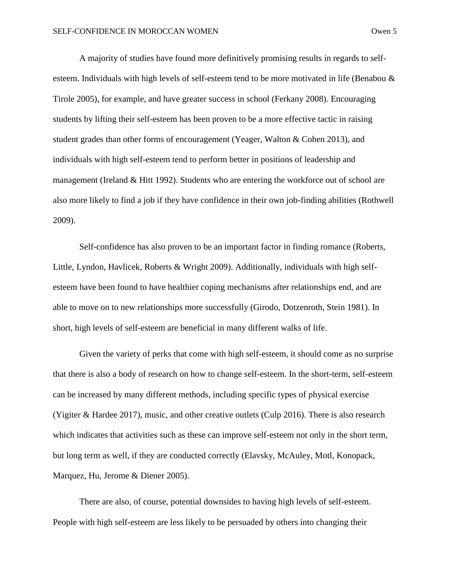A majority of studies have found more definitively promising results in regards to selfesteem. Individuals with high levels of self-esteem tend to be more motivated in life (Benabou & Tirole 2005), for example, and have greater success in school (Ferkany 2008). Encouraging students by lifting their self-esteem has been proven to be a more effective tactic in raising student grades than other forms of encouragement (Yeager, Walton & Cohen 2013), and individuals with high self-esteem tend to perform better in positions of leadership and management (Ireland & Hitt 1992). Students who are entering the workforce out of school are also more likely to find a job if they have confidence in their own job-finding abilities (Rothwell 2009).

 Self-confidence has also proven to be an important factor in finding romance (Roberts, Little, Lyndon, Havlicek, Roberts & Wright 2009). Additionally, individuals with high selfesteem have been found to have healthier coping mechanisms after relationships end, and are able to move on to new relationships more successfully (Girodo, Dotzenroth, Stein 1981). In short, high levels of self-esteem are beneficial in many different walks of life.

Given the variety of perks that come with high self-esteem, it should come as no surprise that there is also a body of research on how to change self-esteem. In the short-term, self-esteem can be increased by many different methods, including specific types of physical exercise (Yigiter & Hardee 2017), music, and other creative outlets (Culp 2016). There is also research which indicates that activities such as these can improve self-esteem not only in the short term, but long term as well, if they are conducted correctly (Elavsky, McAuley, Motl, Konopack, Marquez, Hu, Jerome & Diener 2005).

There are also, of course, potential downsides to having high levels of self-esteem. People with high self-esteem are less likely to be persuaded by others into changing their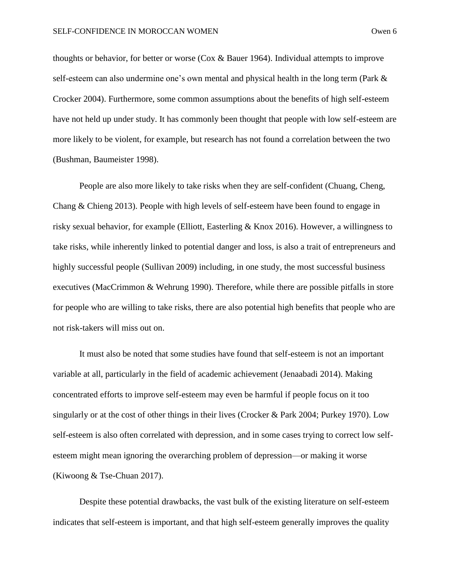thoughts or behavior, for better or worse (Cox & Bauer 1964). Individual attempts to improve self-esteem can also undermine one's own mental and physical health in the long term (Park & Crocker 2004). Furthermore, some common assumptions about the benefits of high self-esteem have not held up under study. It has commonly been thought that people with low self-esteem are more likely to be violent, for example, but research has not found a correlation between the two (Bushman, Baumeister 1998).

People are also more likely to take risks when they are self-confident (Chuang, Cheng, Chang & Chieng 2013). People with high levels of self-esteem have been found to engage in risky sexual behavior, for example (Elliott, Easterling & Knox 2016). However, a willingness to take risks, while inherently linked to potential danger and loss, is also a trait of entrepreneurs and highly successful people (Sullivan 2009) including, in one study, the most successful business executives (MacCrimmon & Wehrung 1990). Therefore, while there are possible pitfalls in store for people who are willing to take risks, there are also potential high benefits that people who are not risk-takers will miss out on.

It must also be noted that some studies have found that self-esteem is not an important variable at all, particularly in the field of academic achievement (Jenaabadi 2014). Making concentrated efforts to improve self-esteem may even be harmful if people focus on it too singularly or at the cost of other things in their lives (Crocker & Park 2004; Purkey 1970). Low self-esteem is also often correlated with depression, and in some cases trying to correct low selfesteem might mean ignoring the overarching problem of depression—or making it worse (Kiwoong & Tse-Chuan 2017).

Despite these potential drawbacks, the vast bulk of the existing literature on self-esteem indicates that self-esteem is important, and that high self-esteem generally improves the quality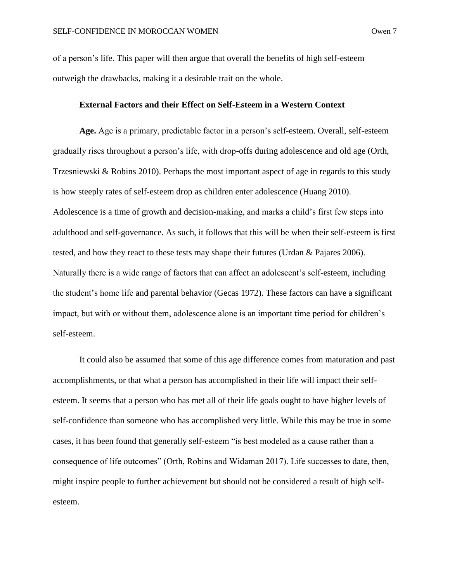of a person's life. This paper will then argue that overall the benefits of high self-esteem outweigh the drawbacks, making it a desirable trait on the whole.

#### **External Factors and their Effect on Self-Esteem in a Western Context**

**Age.** Age is a primary, predictable factor in a person's self-esteem. Overall, self-esteem gradually rises throughout a person's life, with drop-offs during adolescence and old age (Orth, Trzesniewski & Robins 2010). Perhaps the most important aspect of age in regards to this study is how steeply rates of self-esteem drop as children enter adolescence (Huang 2010). Adolescence is a time of growth and decision-making, and marks a child's first few steps into adulthood and self-governance. As such, it follows that this will be when their self-esteem is first tested, and how they react to these tests may shape their futures (Urdan & Pajares 2006). Naturally there is a wide range of factors that can affect an adolescent's self-esteem, including the student's home life and parental behavior (Gecas 1972). These factors can have a significant impact, but with or without them, adolescence alone is an important time period for children's self-esteem.

It could also be assumed that some of this age difference comes from maturation and past accomplishments, or that what a person has accomplished in their life will impact their selfesteem. It seems that a person who has met all of their life goals ought to have higher levels of self-confidence than someone who has accomplished very little. While this may be true in some cases, it has been found that generally self-esteem "is best modeled as a cause rather than a consequence of life outcomes" (Orth, Robins and Widaman 2017). Life successes to date, then, might inspire people to further achievement but should not be considered a result of high selfesteem.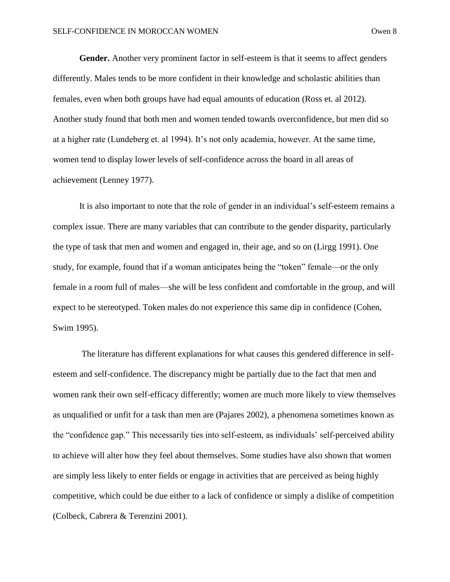**Gender.** Another very prominent factor in self-esteem is that it seems to affect genders differently. Males tends to be more confident in their knowledge and scholastic abilities than females, even when both groups have had equal amounts of education (Ross et. al 2012). Another study found that both men and women tended towards overconfidence, but men did so at a higher rate (Lundeberg et. al 1994). It's not only academia, however. At the same time, women tend to display lower levels of self-confidence across the board in all areas of achievement (Lenney 1977).

It is also important to note that the role of gender in an individual's self-esteem remains a complex issue. There are many variables that can contribute to the gender disparity, particularly the type of task that men and women and engaged in, their age, and so on (Lirgg 1991). One study, for example, found that if a woman anticipates being the "token" female—or the only female in a room full of males—she will be less confident and comfortable in the group, and will expect to be stereotyped. Token males do not experience this same dip in confidence (Cohen, Swim 1995).

The literature has different explanations for what causes this gendered difference in selfesteem and self-confidence. The discrepancy might be partially due to the fact that men and women rank their own self-efficacy differently; women are much more likely to view themselves as unqualified or unfit for a task than men are (Pajares 2002), a phenomena sometimes known as the "confidence gap." This necessarily ties into self-esteem, as individuals' self-perceived ability to achieve will alter how they feel about themselves. Some studies have also shown that women are simply less likely to enter fields or engage in activities that are perceived as being highly competitive, which could be due either to a lack of confidence or simply a dislike of competition (Colbeck, Cabrera & Terenzini 2001).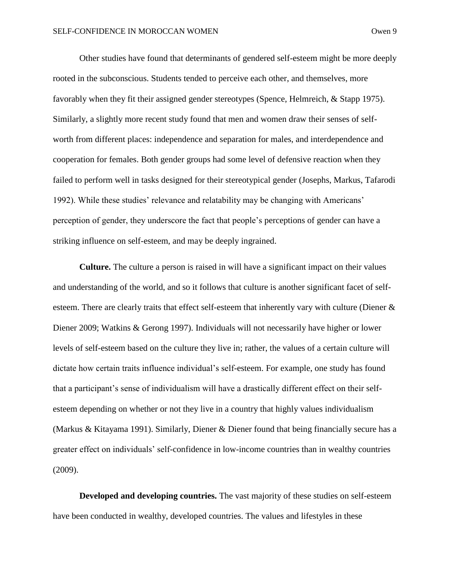Other studies have found that determinants of gendered self-esteem might be more deeply rooted in the subconscious. Students tended to perceive each other, and themselves, more favorably when they fit their assigned gender stereotypes (Spence, Helmreich, & Stapp 1975). Similarly, a slightly more recent study found that men and women draw their senses of selfworth from different places: independence and separation for males, and interdependence and cooperation for females. Both gender groups had some level of defensive reaction when they failed to perform well in tasks designed for their stereotypical gender (Josephs, Markus, Tafarodi 1992). While these studies' relevance and relatability may be changing with Americans' perception of gender, they underscore the fact that people's perceptions of gender can have a striking influence on self-esteem, and may be deeply ingrained.

**Culture.** The culture a person is raised in will have a significant impact on their values and understanding of the world, and so it follows that culture is another significant facet of selfesteem. There are clearly traits that effect self-esteem that inherently vary with culture (Diener & Diener 2009; Watkins & Gerong 1997). Individuals will not necessarily have higher or lower levels of self-esteem based on the culture they live in; rather, the values of a certain culture will dictate how certain traits influence individual's self-esteem. For example, one study has found that a participant's sense of individualism will have a drastically different effect on their selfesteem depending on whether or not they live in a country that highly values individualism (Markus & Kitayama 1991). Similarly, Diener & Diener found that being financially secure has a greater effect on individuals' self-confidence in low-income countries than in wealthy countries (2009).

**Developed and developing countries.** The vast majority of these studies on self-esteem have been conducted in wealthy, developed countries. The values and lifestyles in these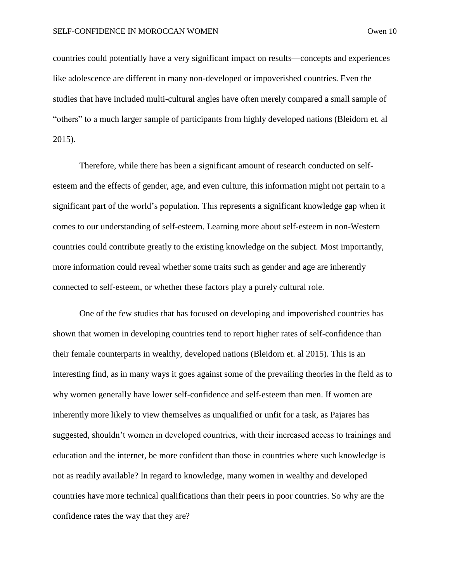countries could potentially have a very significant impact on results—concepts and experiences like adolescence are different in many non-developed or impoverished countries. Even the studies that have included multi-cultural angles have often merely compared a small sample of "others" to a much larger sample of participants from highly developed nations (Bleidorn et. al

2015).

Therefore, while there has been a significant amount of research conducted on selfesteem and the effects of gender, age, and even culture, this information might not pertain to a significant part of the world's population. This represents a significant knowledge gap when it comes to our understanding of self-esteem. Learning more about self-esteem in non-Western countries could contribute greatly to the existing knowledge on the subject. Most importantly, more information could reveal whether some traits such as gender and age are inherently connected to self-esteem, or whether these factors play a purely cultural role.

One of the few studies that has focused on developing and impoverished countries has shown that women in developing countries tend to report higher rates of self-confidence than their female counterparts in wealthy, developed nations (Bleidorn et. al 2015). This is an interesting find, as in many ways it goes against some of the prevailing theories in the field as to why women generally have lower self-confidence and self-esteem than men. If women are inherently more likely to view themselves as unqualified or unfit for a task, as Pajares has suggested, shouldn't women in developed countries, with their increased access to trainings and education and the internet, be more confident than those in countries where such knowledge is not as readily available? In regard to knowledge, many women in wealthy and developed countries have more technical qualifications than their peers in poor countries. So why are the confidence rates the way that they are?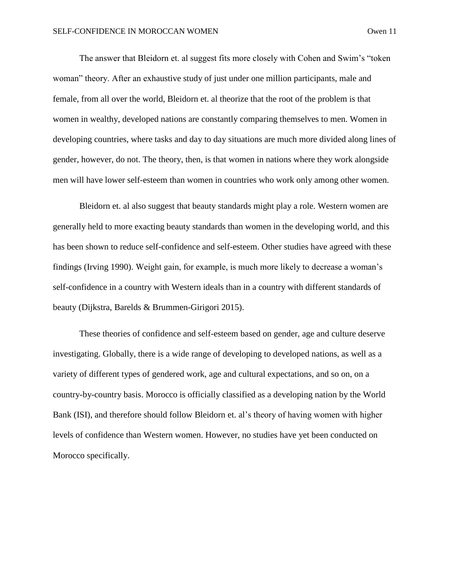The answer that Bleidorn et. al suggest fits more closely with Cohen and Swim's "token woman" theory. After an exhaustive study of just under one million participants, male and female, from all over the world, Bleidorn et. al theorize that the root of the problem is that women in wealthy, developed nations are constantly comparing themselves to men. Women in developing countries, where tasks and day to day situations are much more divided along lines of gender, however, do not. The theory, then, is that women in nations where they work alongside men will have lower self-esteem than women in countries who work only among other women.

Bleidorn et. al also suggest that beauty standards might play a role. Western women are generally held to more exacting beauty standards than women in the developing world, and this has been shown to reduce self-confidence and self-esteem. Other studies have agreed with these findings (Irving 1990). Weight gain, for example, is much more likely to decrease a woman's self-confidence in a country with Western ideals than in a country with different standards of beauty (Dijkstra, Barelds & Brummen-Girigori 2015).

These theories of confidence and self-esteem based on gender, age and culture deserve investigating. Globally, there is a wide range of developing to developed nations, as well as a variety of different types of gendered work, age and cultural expectations, and so on, on a country-by-country basis. Morocco is officially classified as a developing nation by the World Bank (ISI), and therefore should follow Bleidorn et. al's theory of having women with higher levels of confidence than Western women. However, no studies have yet been conducted on Morocco specifically.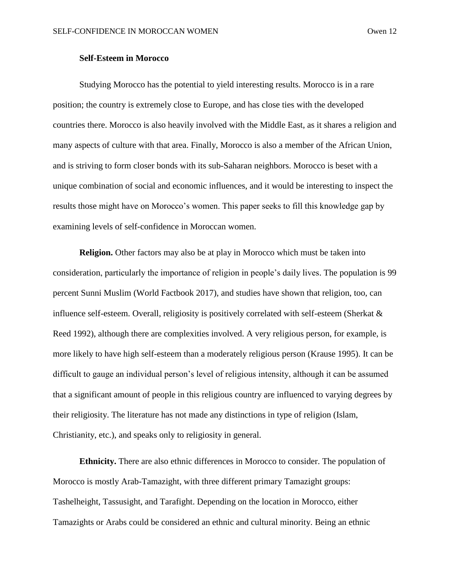#### **Self-Esteem in Morocco**

Studying Morocco has the potential to yield interesting results. Morocco is in a rare position; the country is extremely close to Europe, and has close ties with the developed countries there. Morocco is also heavily involved with the Middle East, as it shares a religion and many aspects of culture with that area. Finally, Morocco is also a member of the African Union, and is striving to form closer bonds with its sub-Saharan neighbors. Morocco is beset with a unique combination of social and economic influences, and it would be interesting to inspect the results those might have on Morocco's women. This paper seeks to fill this knowledge gap by examining levels of self-confidence in Moroccan women.

**Religion.** Other factors may also be at play in Morocco which must be taken into consideration, particularly the importance of religion in people's daily lives. The population is 99 percent Sunni Muslim (World Factbook 2017), and studies have shown that religion, too, can influence self-esteem. Overall, religiosity is positively correlated with self-esteem (Sherkat & Reed 1992), although there are complexities involved. A very religious person, for example, is more likely to have high self-esteem than a moderately religious person (Krause 1995). It can be difficult to gauge an individual person's level of religious intensity, although it can be assumed that a significant amount of people in this religious country are influenced to varying degrees by their religiosity. The literature has not made any distinctions in type of religion (Islam, Christianity, etc.), and speaks only to religiosity in general.

**Ethnicity.** There are also ethnic differences in Morocco to consider. The population of Morocco is mostly Arab-Tamazight, with three different primary Tamazight groups: Tashelheight, Tassusight, and Tarafight. Depending on the location in Morocco, either Tamazights or Arabs could be considered an ethnic and cultural minority. Being an ethnic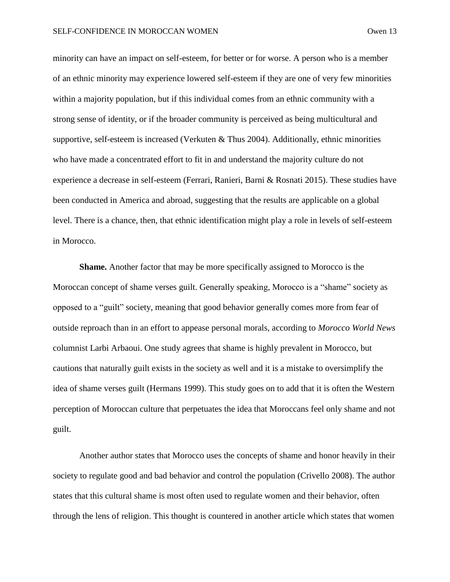minority can have an impact on self-esteem, for better or for worse. A person who is a member of an ethnic minority may experience lowered self-esteem if they are one of very few minorities within a majority population, but if this individual comes from an ethnic community with a strong sense of identity, or if the broader community is perceived as being multicultural and supportive, self-esteem is increased (Verkuten & Thus 2004). Additionally, ethnic minorities who have made a concentrated effort to fit in and understand the majority culture do not experience a decrease in self-esteem (Ferrari, Ranieri, Barni & Rosnati 2015). These studies have been conducted in America and abroad, suggesting that the results are applicable on a global level. There is a chance, then, that ethnic identification might play a role in levels of self-esteem in Morocco.

**Shame.** Another factor that may be more specifically assigned to Morocco is the Moroccan concept of shame verses guilt. Generally speaking, Morocco is a "shame" society as opposed to a "guilt" society, meaning that good behavior generally comes more from fear of outside reproach than in an effort to appease personal morals, according to *Morocco World News*  columnist Larbi Arbaoui. One study agrees that shame is highly prevalent in Morocco, but cautions that naturally guilt exists in the society as well and it is a mistake to oversimplify the idea of shame verses guilt (Hermans 1999). This study goes on to add that it is often the Western perception of Moroccan culture that perpetuates the idea that Moroccans feel only shame and not guilt.

Another author states that Morocco uses the concepts of shame and honor heavily in their society to regulate good and bad behavior and control the population (Crivello 2008). The author states that this cultural shame is most often used to regulate women and their behavior, often through the lens of religion. This thought is countered in another article which states that women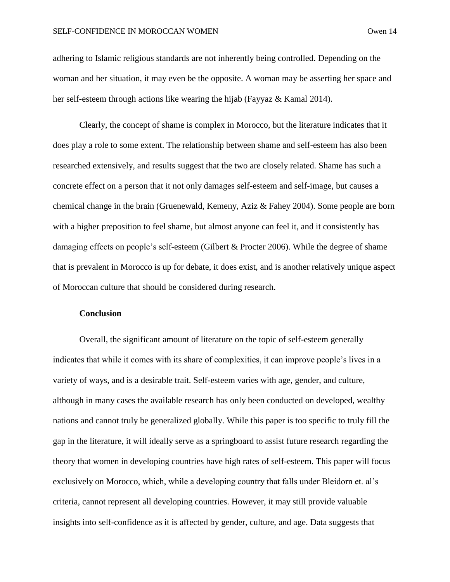adhering to Islamic religious standards are not inherently being controlled. Depending on the woman and her situation, it may even be the opposite. A woman may be asserting her space and her self-esteem through actions like wearing the hijab (Fayyaz & Kamal 2014).

Clearly, the concept of shame is complex in Morocco, but the literature indicates that it does play a role to some extent. The relationship between shame and self-esteem has also been researched extensively, and results suggest that the two are closely related. Shame has such a concrete effect on a person that it not only damages self-esteem and self-image, but causes a chemical change in the brain (Gruenewald, Kemeny, Aziz & Fahey 2004). Some people are born with a higher preposition to feel shame, but almost anyone can feel it, and it consistently has damaging effects on people's self-esteem (Gilbert & Procter 2006). While the degree of shame that is prevalent in Morocco is up for debate, it does exist, and is another relatively unique aspect of Moroccan culture that should be considered during research.

#### **Conclusion**

Overall, the significant amount of literature on the topic of self-esteem generally indicates that while it comes with its share of complexities, it can improve people's lives in a variety of ways, and is a desirable trait. Self-esteem varies with age, gender, and culture, although in many cases the available research has only been conducted on developed, wealthy nations and cannot truly be generalized globally. While this paper is too specific to truly fill the gap in the literature, it will ideally serve as a springboard to assist future research regarding the theory that women in developing countries have high rates of self-esteem. This paper will focus exclusively on Morocco, which, while a developing country that falls under Bleidorn et. al's criteria, cannot represent all developing countries. However, it may still provide valuable insights into self-confidence as it is affected by gender, culture, and age. Data suggests that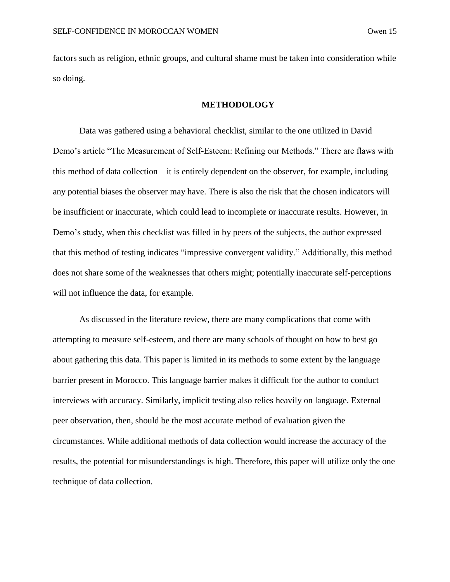factors such as religion, ethnic groups, and cultural shame must be taken into consideration while so doing.

#### **METHODOLOGY**

Data was gathered using a behavioral checklist, similar to the one utilized in David Demo's article "The Measurement of Self-Esteem: Refining our Methods." There are flaws with this method of data collection—it is entirely dependent on the observer, for example, including any potential biases the observer may have. There is also the risk that the chosen indicators will be insufficient or inaccurate, which could lead to incomplete or inaccurate results. However, in Demo's study, when this checklist was filled in by peers of the subjects, the author expressed that this method of testing indicates "impressive convergent validity." Additionally, this method does not share some of the weaknesses that others might; potentially inaccurate self-perceptions will not influence the data, for example.

As discussed in the literature review, there are many complications that come with attempting to measure self-esteem, and there are many schools of thought on how to best go about gathering this data. This paper is limited in its methods to some extent by the language barrier present in Morocco. This language barrier makes it difficult for the author to conduct interviews with accuracy. Similarly, implicit testing also relies heavily on language. External peer observation, then, should be the most accurate method of evaluation given the circumstances. While additional methods of data collection would increase the accuracy of the results, the potential for misunderstandings is high. Therefore, this paper will utilize only the one technique of data collection.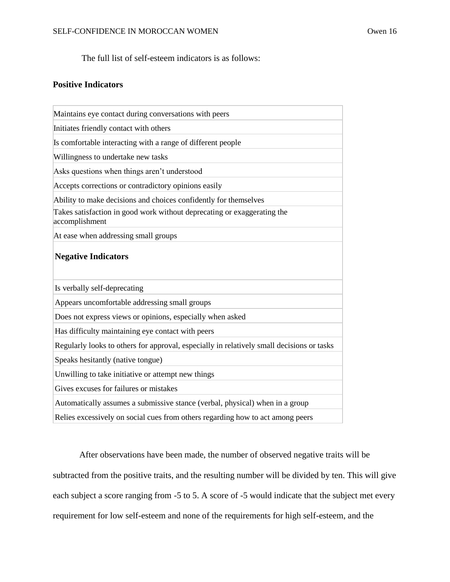The full list of self-esteem indicators is as follows:

#### **Positive Indicators**

| Maintains eye contact during conversations with peers                                                          |
|----------------------------------------------------------------------------------------------------------------|
| Initiates friendly contact with others                                                                         |
| Is comfortable interacting with a range of different people                                                    |
| Willingness to undertake new tasks                                                                             |
| Asks questions when things aren't understood                                                                   |
| Accepts corrections or contradictory opinions easily                                                           |
| Ability to make decisions and choices confidently for themselves                                               |
| Takes satisfaction in good work without deprecating or exaggerating the<br>accomplishment                      |
| At ease when addressing small groups                                                                           |
| <b>Negative Indicators</b><br>Is verbally self-deprecating                                                     |
|                                                                                                                |
| Appears uncomfortable addressing small groups                                                                  |
| Does not express views or opinions, especially when asked<br>Has difficulty maintaining eye contact with peers |
| Regularly looks to others for approval, especially in relatively small decisions or tasks                      |
| Speaks hesitantly (native tongue)                                                                              |
| Unwilling to take initiative or attempt new things                                                             |
| Gives excuses for failures or mistakes                                                                         |
| Automatically assumes a submissive stance (verbal, physical) when in a group                                   |
| Relies excessively on social cues from others regarding how to act among peers                                 |

After observations have been made, the number of observed negative traits will be subtracted from the positive traits, and the resulting number will be divided by ten. This will give each subject a score ranging from -5 to 5. A score of -5 would indicate that the subject met every requirement for low self-esteem and none of the requirements for high self-esteem, and the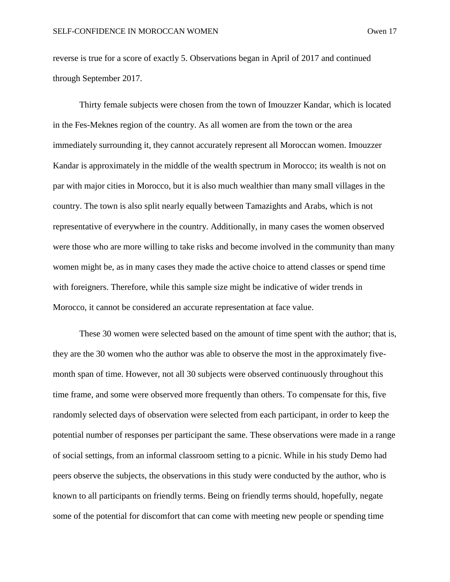reverse is true for a score of exactly 5. Observations began in April of 2017 and continued through September 2017.

Thirty female subjects were chosen from the town of Imouzzer Kandar, which is located in the Fes-Meknes region of the country. As all women are from the town or the area immediately surrounding it, they cannot accurately represent all Moroccan women. Imouzzer Kandar is approximately in the middle of the wealth spectrum in Morocco; its wealth is not on par with major cities in Morocco, but it is also much wealthier than many small villages in the country. The town is also split nearly equally between Tamazights and Arabs, which is not representative of everywhere in the country. Additionally, in many cases the women observed were those who are more willing to take risks and become involved in the community than many women might be, as in many cases they made the active choice to attend classes or spend time with foreigners. Therefore, while this sample size might be indicative of wider trends in Morocco, it cannot be considered an accurate representation at face value.

These 30 women were selected based on the amount of time spent with the author; that is, they are the 30 women who the author was able to observe the most in the approximately fivemonth span of time. However, not all 30 subjects were observed continuously throughout this time frame, and some were observed more frequently than others. To compensate for this, five randomly selected days of observation were selected from each participant, in order to keep the potential number of responses per participant the same. These observations were made in a range of social settings, from an informal classroom setting to a picnic. While in his study Demo had peers observe the subjects, the observations in this study were conducted by the author, who is known to all participants on friendly terms. Being on friendly terms should, hopefully, negate some of the potential for discomfort that can come with meeting new people or spending time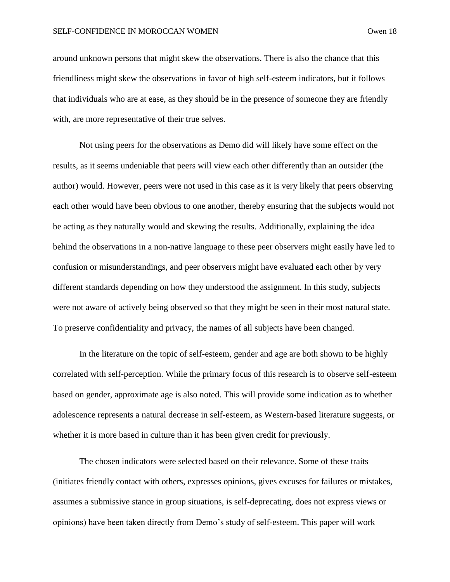around unknown persons that might skew the observations. There is also the chance that this friendliness might skew the observations in favor of high self-esteem indicators, but it follows that individuals who are at ease, as they should be in the presence of someone they are friendly with, are more representative of their true selves.

Not using peers for the observations as Demo did will likely have some effect on the results, as it seems undeniable that peers will view each other differently than an outsider (the author) would. However, peers were not used in this case as it is very likely that peers observing each other would have been obvious to one another, thereby ensuring that the subjects would not be acting as they naturally would and skewing the results. Additionally, explaining the idea behind the observations in a non-native language to these peer observers might easily have led to confusion or misunderstandings, and peer observers might have evaluated each other by very different standards depending on how they understood the assignment. In this study, subjects were not aware of actively being observed so that they might be seen in their most natural state. To preserve confidentiality and privacy, the names of all subjects have been changed.

In the literature on the topic of self-esteem, gender and age are both shown to be highly correlated with self-perception. While the primary focus of this research is to observe self-esteem based on gender, approximate age is also noted. This will provide some indication as to whether adolescence represents a natural decrease in self-esteem, as Western-based literature suggests, or whether it is more based in culture than it has been given credit for previously.

The chosen indicators were selected based on their relevance. Some of these traits (initiates friendly contact with others, expresses opinions, gives excuses for failures or mistakes, assumes a submissive stance in group situations, is self-deprecating, does not express views or opinions) have been taken directly from Demo's study of self-esteem. This paper will work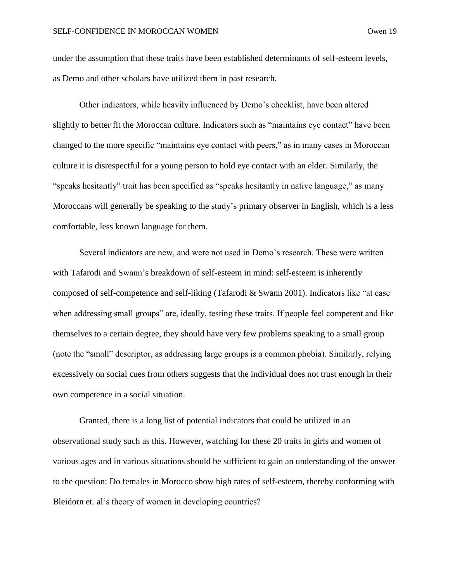under the assumption that these traits have been established determinants of self-esteem levels, as Demo and other scholars have utilized them in past research.

Other indicators, while heavily influenced by Demo's checklist, have been altered slightly to better fit the Moroccan culture. Indicators such as "maintains eye contact" have been changed to the more specific "maintains eye contact with peers," as in many cases in Moroccan culture it is disrespectful for a young person to hold eye contact with an elder. Similarly, the "speaks hesitantly" trait has been specified as "speaks hesitantly in native language," as many Moroccans will generally be speaking to the study's primary observer in English, which is a less comfortable, less known language for them.

Several indicators are new, and were not used in Demo's research. These were written with Tafarodi and Swann's breakdown of self-esteem in mind: self-esteem is inherently composed of self-competence and self-liking (Tafarodi & Swann 2001). Indicators like "at ease when addressing small groups" are, ideally, testing these traits. If people feel competent and like themselves to a certain degree, they should have very few problems speaking to a small group (note the "small" descriptor, as addressing large groups is a common phobia). Similarly, relying excessively on social cues from others suggests that the individual does not trust enough in their own competence in a social situation.

Granted, there is a long list of potential indicators that could be utilized in an observational study such as this. However, watching for these 20 traits in girls and women of various ages and in various situations should be sufficient to gain an understanding of the answer to the question: Do females in Morocco show high rates of self-esteem, thereby conforming with Bleidorn et. al's theory of women in developing countries?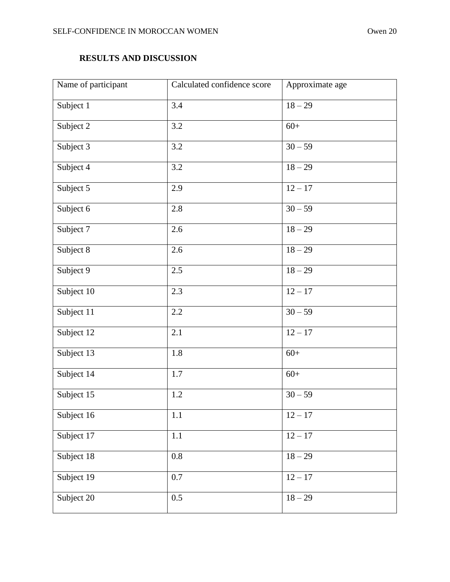| Name of participant | Calculated confidence score | Approximate age |
|---------------------|-----------------------------|-----------------|
| Subject 1           | 3.4                         | $18 - 29$       |
| Subject 2           | 3.2                         | $60+$           |
| Subject 3           | 3.2                         | $30 - 59$       |
| Subject 4           | 3.2                         | $18 - 29$       |
| Subject 5           | 2.9                         | $12 - 17$       |
| Subject 6           | 2.8                         | $30 - 59$       |
| Subject 7           | 2.6                         | $18 - 29$       |
| Subject 8           | 2.6                         | $18 - 29$       |
| Subject 9           | 2.5                         | $18 - 29$       |
| Subject 10          | 2.3                         | $12 - 17$       |
| Subject 11          | 2.2                         | $30 - 59$       |
| Subject 12          | 2.1                         | $12 - 17$       |
| Subject 13          | 1.8                         | $60+$           |
| Subject 14          | 1.7                         | $60+$           |
| Subject 15          | 1.2                         | $30 - 59$       |
| Subject 16          | $1.1\,$                     | $12 - 17$       |
| Subject 17          | $1.1\,$                     | $12 - 17$       |
| Subject 18          | 0.8                         | $18 - 29$       |
| Subject 19          | $0.7\,$                     | $12 - 17$       |
| Subject 20          | $0.5\,$                     | $18 - 29$       |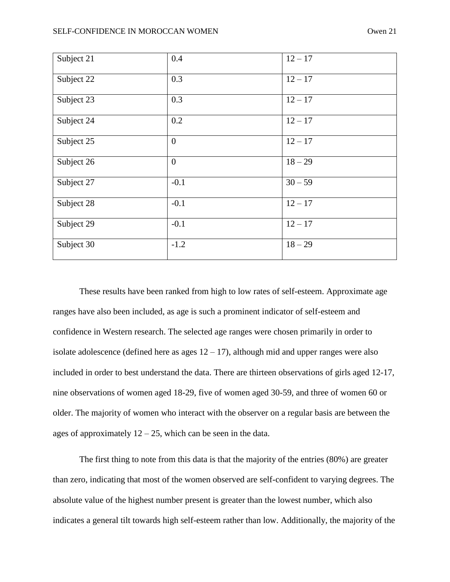| Subject 21 | 0.4              | $12 - 17$ |
|------------|------------------|-----------|
| Subject 22 | 0.3              | $12 - 17$ |
| Subject 23 | 0.3              | $12 - 17$ |
| Subject 24 | 0.2              | $12 - 17$ |
| Subject 25 | $\boldsymbol{0}$ | $12 - 17$ |
| Subject 26 | $\boldsymbol{0}$ | $18 - 29$ |
| Subject 27 | $-0.1$           | $30 - 59$ |
| Subject 28 | $-0.1$           | $12 - 17$ |
| Subject 29 | $-0.1$           | $12 - 17$ |
| Subject 30 | $-1.2$           | $18 - 29$ |

These results have been ranked from high to low rates of self-esteem. Approximate age ranges have also been included, as age is such a prominent indicator of self-esteem and confidence in Western research. The selected age ranges were chosen primarily in order to isolate adolescence (defined here as ages  $12 - 17$ ), although mid and upper ranges were also included in order to best understand the data. There are thirteen observations of girls aged 12-17, nine observations of women aged 18-29, five of women aged 30-59, and three of women 60 or older. The majority of women who interact with the observer on a regular basis are between the ages of approximately  $12 - 25$ , which can be seen in the data.

The first thing to note from this data is that the majority of the entries (80%) are greater than zero, indicating that most of the women observed are self-confident to varying degrees. The absolute value of the highest number present is greater than the lowest number, which also indicates a general tilt towards high self-esteem rather than low. Additionally, the majority of the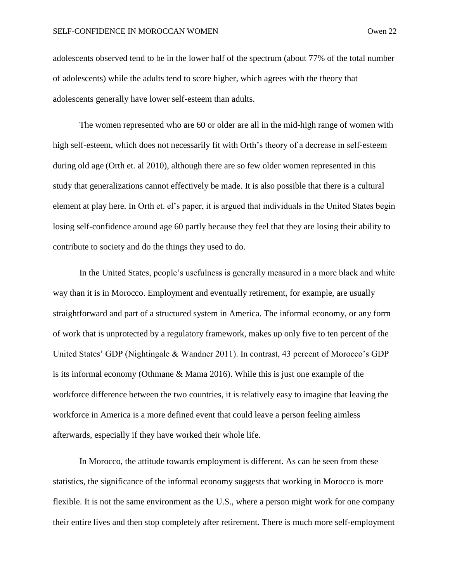adolescents observed tend to be in the lower half of the spectrum (about 77% of the total number of adolescents) while the adults tend to score higher, which agrees with the theory that adolescents generally have lower self-esteem than adults.

The women represented who are 60 or older are all in the mid-high range of women with high self-esteem, which does not necessarily fit with Orth's theory of a decrease in self-esteem during old age (Orth et. al 2010), although there are so few older women represented in this study that generalizations cannot effectively be made. It is also possible that there is a cultural element at play here. In Orth et. el's paper, it is argued that individuals in the United States begin losing self-confidence around age 60 partly because they feel that they are losing their ability to contribute to society and do the things they used to do.

In the United States, people's usefulness is generally measured in a more black and white way than it is in Morocco. Employment and eventually retirement, for example, are usually straightforward and part of a structured system in America. The informal economy, or any form of work that is unprotected by a regulatory framework, makes up only five to ten percent of the United States' GDP (Nightingale & Wandner 2011). In contrast, 43 percent of Morocco's GDP is its informal economy (Othmane & Mama 2016). While this is just one example of the workforce difference between the two countries, it is relatively easy to imagine that leaving the workforce in America is a more defined event that could leave a person feeling aimless afterwards, especially if they have worked their whole life.

In Morocco, the attitude towards employment is different. As can be seen from these statistics, the significance of the informal economy suggests that working in Morocco is more flexible. It is not the same environment as the U.S., where a person might work for one company their entire lives and then stop completely after retirement. There is much more self-employment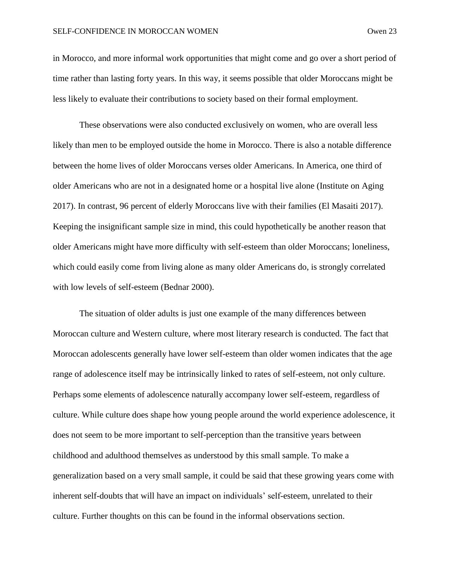in Morocco, and more informal work opportunities that might come and go over a short period of time rather than lasting forty years. In this way, it seems possible that older Moroccans might be less likely to evaluate their contributions to society based on their formal employment.

These observations were also conducted exclusively on women, who are overall less likely than men to be employed outside the home in Morocco. There is also a notable difference between the home lives of older Moroccans verses older Americans. In America, one third of older Americans who are not in a designated home or a hospital live alone (Institute on Aging 2017). In contrast, 96 percent of elderly Moroccans live with their families (El Masaiti 2017). Keeping the insignificant sample size in mind, this could hypothetically be another reason that older Americans might have more difficulty with self-esteem than older Moroccans; loneliness, which could easily come from living alone as many older Americans do, is strongly correlated with low levels of self-esteem (Bednar 2000).

The situation of older adults is just one example of the many differences between Moroccan culture and Western culture, where most literary research is conducted. The fact that Moroccan adolescents generally have lower self-esteem than older women indicates that the age range of adolescence itself may be intrinsically linked to rates of self-esteem, not only culture. Perhaps some elements of adolescence naturally accompany lower self-esteem, regardless of culture. While culture does shape how young people around the world experience adolescence, it does not seem to be more important to self-perception than the transitive years between childhood and adulthood themselves as understood by this small sample. To make a generalization based on a very small sample, it could be said that these growing years come with inherent self-doubts that will have an impact on individuals' self-esteem, unrelated to their culture. Further thoughts on this can be found in the informal observations section.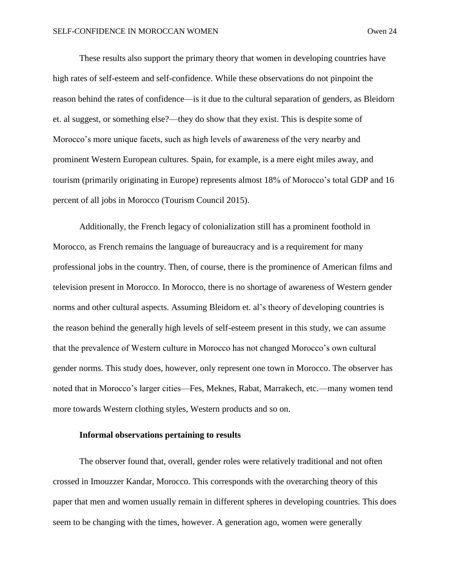These results also support the primary theory that women in developing countries have high rates of self-esteem and self-confidence. While these observations do not pinpoint the reason behind the rates of confidence—is it due to the cultural separation of genders, as Bleidorn et. al suggest, or something else?—they do show that they exist. This is despite some of Morocco's more unique facets, such as high levels of awareness of the very nearby and prominent Western European cultures. Spain, for example, is a mere eight miles away, and tourism (primarily originating in Europe) represents almost 18% of Morocco's total GDP and 16 percent of all jobs in Morocco (Tourism Council 2015).

Additionally, the French legacy of colonialization still has a prominent foothold in Morocco, as French remains the language of bureaucracy and is a requirement for many professional jobs in the country. Then, of course, there is the prominence of American films and television present in Morocco. In Morocco, there is no shortage of awareness of Western gender norms and other cultural aspects. Assuming Bleidorn et. al's theory of developing countries is the reason behind the generally high levels of self-esteem present in this study, we can assume that the prevalence of Western culture in Morocco has not changed Morocco's own cultural gender norms. This study does, however, only represent one town in Morocco. The observer has noted that in Morocco's larger cities—Fes, Meknes, Rabat, Marrakech, etc.—many women tend more towards Western clothing styles, Western products and so on.

#### **Informal observations pertaining to results**

The observer found that, overall, gender roles were relatively traditional and not often crossed in Imouzzer Kandar, Morocco. This corresponds with the overarching theory of this paper that men and women usually remain in different spheres in developing countries. This does seem to be changing with the times, however. A generation ago, women were generally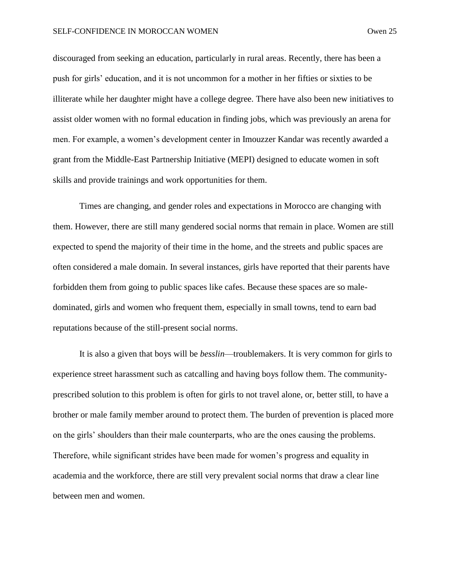discouraged from seeking an education, particularly in rural areas. Recently, there has been a push for girls' education, and it is not uncommon for a mother in her fifties or sixties to be illiterate while her daughter might have a college degree. There have also been new initiatives to assist older women with no formal education in finding jobs, which was previously an arena for men. For example, a women's development center in Imouzzer Kandar was recently awarded a grant from the Middle-East Partnership Initiative (MEPI) designed to educate women in soft skills and provide trainings and work opportunities for them.

Times are changing, and gender roles and expectations in Morocco are changing with them. However, there are still many gendered social norms that remain in place. Women are still expected to spend the majority of their time in the home, and the streets and public spaces are often considered a male domain. In several instances, girls have reported that their parents have forbidden them from going to public spaces like cafes. Because these spaces are so maledominated, girls and women who frequent them, especially in small towns, tend to earn bad reputations because of the still-present social norms.

It is also a given that boys will be *besslin*—troublemakers. It is very common for girls to experience street harassment such as catcalling and having boys follow them. The communityprescribed solution to this problem is often for girls to not travel alone, or, better still, to have a brother or male family member around to protect them. The burden of prevention is placed more on the girls' shoulders than their male counterparts, who are the ones causing the problems. Therefore, while significant strides have been made for women's progress and equality in academia and the workforce, there are still very prevalent social norms that draw a clear line between men and women.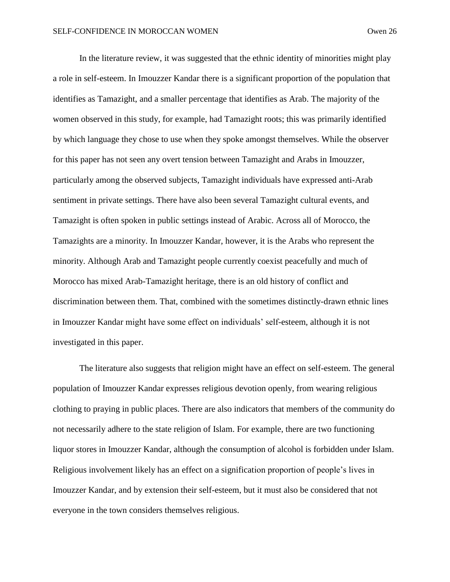In the literature review, it was suggested that the ethnic identity of minorities might play a role in self-esteem. In Imouzzer Kandar there is a significant proportion of the population that identifies as Tamazight, and a smaller percentage that identifies as Arab. The majority of the women observed in this study, for example, had Tamazight roots; this was primarily identified by which language they chose to use when they spoke amongst themselves. While the observer for this paper has not seen any overt tension between Tamazight and Arabs in Imouzzer, particularly among the observed subjects, Tamazight individuals have expressed anti-Arab sentiment in private settings. There have also been several Tamazight cultural events, and Tamazight is often spoken in public settings instead of Arabic. Across all of Morocco, the Tamazights are a minority. In Imouzzer Kandar, however, it is the Arabs who represent the minority. Although Arab and Tamazight people currently coexist peacefully and much of Morocco has mixed Arab-Tamazight heritage, there is an old history of conflict and discrimination between them. That, combined with the sometimes distinctly-drawn ethnic lines in Imouzzer Kandar might have some effect on individuals' self-esteem, although it is not investigated in this paper.

The literature also suggests that religion might have an effect on self-esteem. The general population of Imouzzer Kandar expresses religious devotion openly, from wearing religious clothing to praying in public places. There are also indicators that members of the community do not necessarily adhere to the state religion of Islam. For example, there are two functioning liquor stores in Imouzzer Kandar, although the consumption of alcohol is forbidden under Islam. Religious involvement likely has an effect on a signification proportion of people's lives in Imouzzer Kandar, and by extension their self-esteem, but it must also be considered that not everyone in the town considers themselves religious.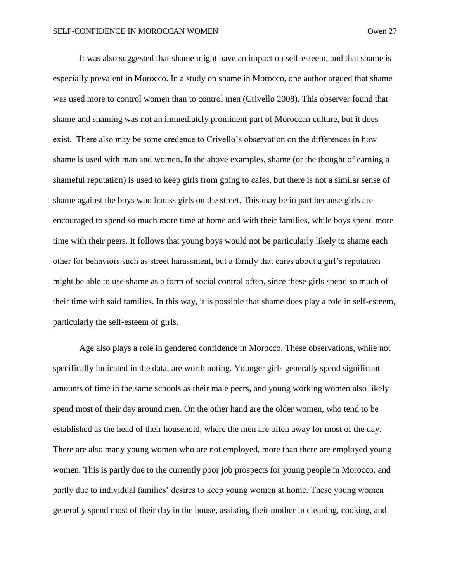It was also suggested that shame might have an impact on self-esteem, and that shame is especially prevalent in Morocco. In a study on shame in Morocco, one author argued that shame was used more to control women than to control men (Crivello 2008). This observer found that shame and shaming was not an immediately prominent part of Moroccan culture, but it does exist. There also may be some credence to Crivello's observation on the differences in how shame is used with man and women. In the above examples, shame (or the thought of earning a shameful reputation) is used to keep girls from going to cafes, but there is not a similar sense of shame against the boys who harass girls on the street. This may be in part because girls are encouraged to spend so much more time at home and with their families, while boys spend more time with their peers. It follows that young boys would not be particularly likely to shame each other for behaviors such as street harassment, but a family that cares about a girl's reputation might be able to use shame as a form of social control often, since these girls spend so much of their time with said families. In this way, it is possible that shame does play a role in self-esteem, particularly the self-esteem of girls.

Age also plays a role in gendered confidence in Morocco. These observations, while not specifically indicated in the data, are worth noting. Younger girls generally spend significant amounts of time in the same schools as their male peers, and young working women also likely spend most of their day around men. On the other hand are the older women, who tend to be established as the head of their household, where the men are often away for most of the day. There are also many young women who are not employed, more than there are employed young women. This is partly due to the currently poor job prospects for young people in Morocco, and partly due to individual families' desires to keep young women at home. These young women generally spend most of their day in the house, assisting their mother in cleaning, cooking, and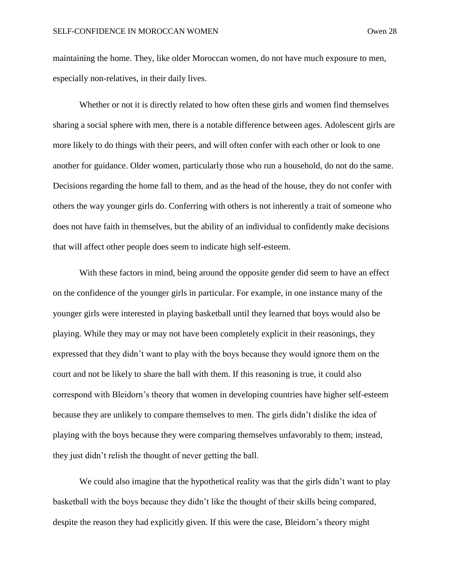maintaining the home. They, like older Moroccan women, do not have much exposure to men, especially non-relatives, in their daily lives.

Whether or not it is directly related to how often these girls and women find themselves sharing a social sphere with men, there is a notable difference between ages. Adolescent girls are more likely to do things with their peers, and will often confer with each other or look to one another for guidance. Older women, particularly those who run a household, do not do the same. Decisions regarding the home fall to them, and as the head of the house, they do not confer with others the way younger girls do. Conferring with others is not inherently a trait of someone who does not have faith in themselves, but the ability of an individual to confidently make decisions that will affect other people does seem to indicate high self-esteem.

With these factors in mind, being around the opposite gender did seem to have an effect on the confidence of the younger girls in particular. For example, in one instance many of the younger girls were interested in playing basketball until they learned that boys would also be playing. While they may or may not have been completely explicit in their reasonings, they expressed that they didn't want to play with the boys because they would ignore them on the court and not be likely to share the ball with them. If this reasoning is true, it could also correspond with Bleidorn's theory that women in developing countries have higher self-esteem because they are unlikely to compare themselves to men. The girls didn't dislike the idea of playing with the boys because they were comparing themselves unfavorably to them; instead, they just didn't relish the thought of never getting the ball.

We could also imagine that the hypothetical reality was that the girls didn't want to play basketball with the boys because they didn't like the thought of their skills being compared, despite the reason they had explicitly given. If this were the case, Bleidorn's theory might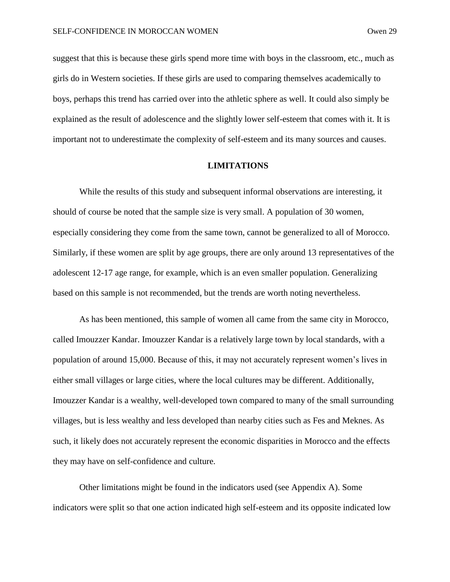suggest that this is because these girls spend more time with boys in the classroom, etc., much as girls do in Western societies. If these girls are used to comparing themselves academically to boys, perhaps this trend has carried over into the athletic sphere as well. It could also simply be explained as the result of adolescence and the slightly lower self-esteem that comes with it. It is important not to underestimate the complexity of self-esteem and its many sources and causes.

#### **LIMITATIONS**

While the results of this study and subsequent informal observations are interesting, it should of course be noted that the sample size is very small. A population of 30 women, especially considering they come from the same town, cannot be generalized to all of Morocco. Similarly, if these women are split by age groups, there are only around 13 representatives of the adolescent 12-17 age range, for example, which is an even smaller population. Generalizing based on this sample is not recommended, but the trends are worth noting nevertheless.

As has been mentioned, this sample of women all came from the same city in Morocco, called Imouzzer Kandar. Imouzzer Kandar is a relatively large town by local standards, with a population of around 15,000. Because of this, it may not accurately represent women's lives in either small villages or large cities, where the local cultures may be different. Additionally, Imouzzer Kandar is a wealthy, well-developed town compared to many of the small surrounding villages, but is less wealthy and less developed than nearby cities such as Fes and Meknes. As such, it likely does not accurately represent the economic disparities in Morocco and the effects they may have on self-confidence and culture.

Other limitations might be found in the indicators used (see Appendix A). Some indicators were split so that one action indicated high self-esteem and its opposite indicated low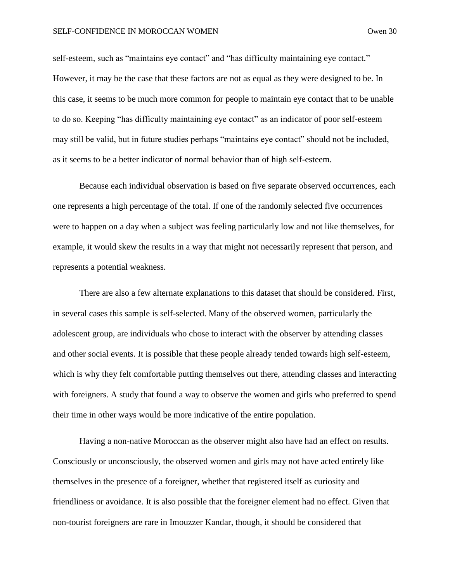self-esteem, such as "maintains eye contact" and "has difficulty maintaining eye contact." However, it may be the case that these factors are not as equal as they were designed to be. In this case, it seems to be much more common for people to maintain eye contact that to be unable to do so. Keeping "has difficulty maintaining eye contact" as an indicator of poor self-esteem may still be valid, but in future studies perhaps "maintains eye contact" should not be included, as it seems to be a better indicator of normal behavior than of high self-esteem.

Because each individual observation is based on five separate observed occurrences, each one represents a high percentage of the total. If one of the randomly selected five occurrences were to happen on a day when a subject was feeling particularly low and not like themselves, for example, it would skew the results in a way that might not necessarily represent that person, and represents a potential weakness.

There are also a few alternate explanations to this dataset that should be considered. First, in several cases this sample is self-selected. Many of the observed women, particularly the adolescent group, are individuals who chose to interact with the observer by attending classes and other social events. It is possible that these people already tended towards high self-esteem, which is why they felt comfortable putting themselves out there, attending classes and interacting with foreigners. A study that found a way to observe the women and girls who preferred to spend their time in other ways would be more indicative of the entire population.

Having a non-native Moroccan as the observer might also have had an effect on results. Consciously or unconsciously, the observed women and girls may not have acted entirely like themselves in the presence of a foreigner, whether that registered itself as curiosity and friendliness or avoidance. It is also possible that the foreigner element had no effect. Given that non-tourist foreigners are rare in Imouzzer Kandar, though, it should be considered that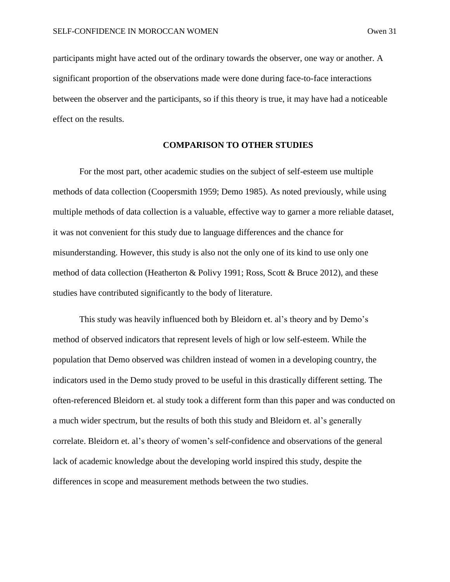participants might have acted out of the ordinary towards the observer, one way or another. A

significant proportion of the observations made were done during face-to-face interactions between the observer and the participants, so if this theory is true, it may have had a noticeable effect on the results.

# **COMPARISON TO OTHER STUDIES**

For the most part, other academic studies on the subject of self-esteem use multiple methods of data collection (Coopersmith 1959; Demo 1985). As noted previously, while using multiple methods of data collection is a valuable, effective way to garner a more reliable dataset, it was not convenient for this study due to language differences and the chance for misunderstanding. However, this study is also not the only one of its kind to use only one method of data collection (Heatherton & Polivy 1991; Ross, Scott & Bruce 2012), and these studies have contributed significantly to the body of literature.

This study was heavily influenced both by Bleidorn et. al's theory and by Demo's method of observed indicators that represent levels of high or low self-esteem. While the population that Demo observed was children instead of women in a developing country, the indicators used in the Demo study proved to be useful in this drastically different setting. The often-referenced Bleidorn et. al study took a different form than this paper and was conducted on a much wider spectrum, but the results of both this study and Bleidorn et. al's generally correlate. Bleidorn et. al's theory of women's self-confidence and observations of the general lack of academic knowledge about the developing world inspired this study, despite the differences in scope and measurement methods between the two studies.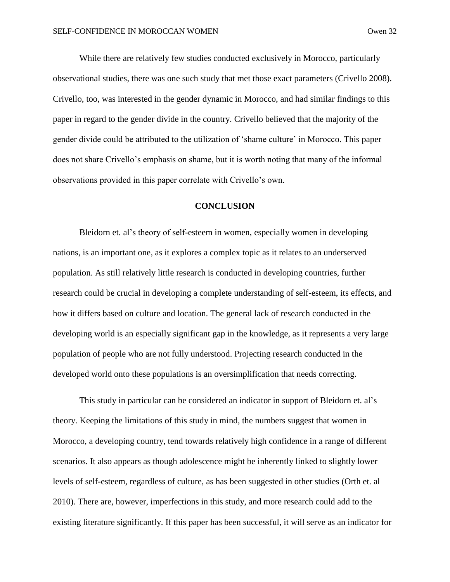While there are relatively few studies conducted exclusively in Morocco, particularly observational studies, there was one such study that met those exact parameters (Crivello 2008). Crivello, too, was interested in the gender dynamic in Morocco, and had similar findings to this paper in regard to the gender divide in the country. Crivello believed that the majority of the gender divide could be attributed to the utilization of 'shame culture' in Morocco. This paper does not share Crivello's emphasis on shame, but it is worth noting that many of the informal observations provided in this paper correlate with Crivello's own.

# **CONCLUSION**

Bleidorn et. al's theory of self-esteem in women, especially women in developing nations, is an important one, as it explores a complex topic as it relates to an underserved population. As still relatively little research is conducted in developing countries, further research could be crucial in developing a complete understanding of self-esteem, its effects, and how it differs based on culture and location. The general lack of research conducted in the developing world is an especially significant gap in the knowledge, as it represents a very large population of people who are not fully understood. Projecting research conducted in the developed world onto these populations is an oversimplification that needs correcting.

This study in particular can be considered an indicator in support of Bleidorn et. al's theory. Keeping the limitations of this study in mind, the numbers suggest that women in Morocco, a developing country, tend towards relatively high confidence in a range of different scenarios. It also appears as though adolescence might be inherently linked to slightly lower levels of self-esteem, regardless of culture, as has been suggested in other studies (Orth et. al 2010). There are, however, imperfections in this study, and more research could add to the existing literature significantly. If this paper has been successful, it will serve as an indicator for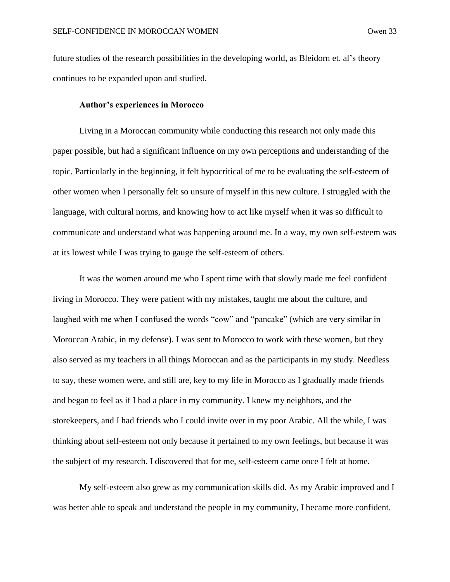future studies of the research possibilities in the developing world, as Bleidorn et. al's theory continues to be expanded upon and studied.

#### **Author's experiences in Morocco**

Living in a Moroccan community while conducting this research not only made this paper possible, but had a significant influence on my own perceptions and understanding of the topic. Particularly in the beginning, it felt hypocritical of me to be evaluating the self-esteem of other women when I personally felt so unsure of myself in this new culture. I struggled with the language, with cultural norms, and knowing how to act like myself when it was so difficult to communicate and understand what was happening around me. In a way, my own self-esteem was at its lowest while I was trying to gauge the self-esteem of others.

It was the women around me who I spent time with that slowly made me feel confident living in Morocco. They were patient with my mistakes, taught me about the culture, and laughed with me when I confused the words "cow" and "pancake" (which are very similar in Moroccan Arabic, in my defense). I was sent to Morocco to work with these women, but they also served as my teachers in all things Moroccan and as the participants in my study. Needless to say, these women were, and still are, key to my life in Morocco as I gradually made friends and began to feel as if I had a place in my community. I knew my neighbors, and the storekeepers, and I had friends who I could invite over in my poor Arabic. All the while, I was thinking about self-esteem not only because it pertained to my own feelings, but because it was the subject of my research. I discovered that for me, self-esteem came once I felt at home.

My self-esteem also grew as my communication skills did. As my Arabic improved and I was better able to speak and understand the people in my community, I became more confident.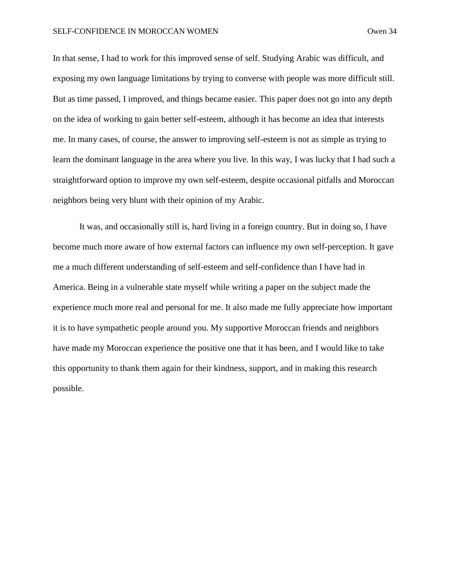In that sense, I had to work for this improved sense of self. Studying Arabic was difficult, and exposing my own language limitations by trying to converse with people was more difficult still. But as time passed, I improved, and things became easier. This paper does not go into any depth on the idea of working to gain better self-esteem, although it has become an idea that interests me. In many cases, of course, the answer to improving self-esteem is not as simple as trying to learn the dominant language in the area where you live. In this way, I was lucky that I had such a straightforward option to improve my own self-esteem, despite occasional pitfalls and Moroccan neighbors being very blunt with their opinion of my Arabic.

It was, and occasionally still is, hard living in a foreign country. But in doing so, I have become much more aware of how external factors can influence my own self-perception. It gave me a much different understanding of self-esteem and self-confidence than I have had in America. Being in a vulnerable state myself while writing a paper on the subject made the experience much more real and personal for me. It also made me fully appreciate how important it is to have sympathetic people around you. My supportive Moroccan friends and neighbors have made my Moroccan experience the positive one that it has been, and I would like to take this opportunity to thank them again for their kindness, support, and in making this research possible.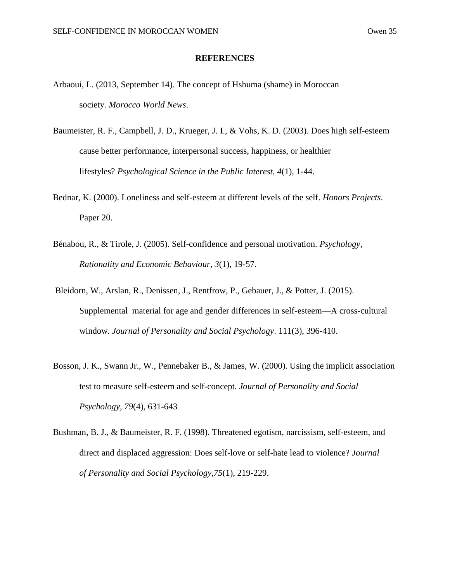#### **REFERENCES**

- Arbaoui, L. (2013, September 14). The concept of Hshuma (shame) in Moroccan society. *Morocco World News*.
- Baumeister, R. F., Campbell, J. D., Krueger, J. I., & Vohs, K. D. (2003). Does high self-esteem cause better performance, interpersonal success, happiness, or healthier lifestyles? *Psychological Science in the Public Interest, 4*(1), 1-44.
- Bednar, K. (2000). Loneliness and self-esteem at different levels of the self. *Honors Projects*. Paper 20.
- Bénabou, R., & Tirole, J. (2005). Self-confidence and personal motivation. *Psychology, Rationality and Economic Behaviour, 3*(1), 19-57.
- Bleidorn, W., Arslan, R., Denissen, J., Rentfrow, P., Gebauer, J., & Potter, J. (2015). Supplemental material for age and gender differences in self-esteem—A cross-cultural window*. Journal of Personality and Social Psychology*. 111(3), 396-410.
- Bosson, J. K., Swann Jr., W., Pennebaker B., & James, W. (2000). Using the implicit association test to measure self-esteem and self-concept*. Journal of Personality and Social Psychology, 79*(4), 631-643
- Bushman, B. J., & Baumeister, R. F. (1998). Threatened egotism, narcissism, self-esteem, and direct and displaced aggression: Does self-love or self-hate lead to violence? *Journal of Personality and Social Psychology,75*(1), 219-229.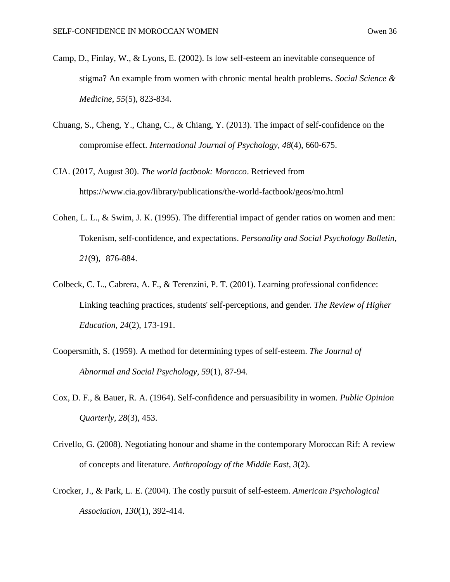- Camp, D., Finlay, W., & Lyons, E. (2002). Is low self-esteem an inevitable consequence of stigma? An example from women with chronic mental health problems. *Social Science & Medicine, 55*(5), 823-834.
- Chuang, S., Cheng, Y., Chang, C., & Chiang, Y. (2013). The impact of self-confidence on the compromise effect. *International Journal of Psychology, 48*(4), 660-675.
- CIA. (2017, August 30). *The world factbook: Morocco*. Retrieved from https://www.cia.gov/library/publications/the-world-factbook/geos/mo.html
- Cohen, L. L., & Swim, J. K. (1995). The differential impact of gender ratios on women and men: Tokenism, self-confidence, and expectations. *Personality and Social Psychology Bulletin, 21*(9), 876-884.
- Colbeck, C. L., Cabrera, A. F., & Terenzini, P. T. (2001). Learning professional confidence: Linking teaching practices, students' self-perceptions, and gender. *The Review of Higher Education, 24*(2), 173-191.
- Coopersmith, S. (1959). A method for determining types of self-esteem. *The Journal of Abnormal and Social Psychology, 59*(1), 87-94.
- Cox, D. F., & Bauer, R. A. (1964). Self-confidence and persuasibility in women. *Public Opinion Quarterly, 28*(3), 453.
- Crivello, G. (2008). Negotiating honour and shame in the contemporary Moroccan Rif: A review of concepts and literature. *Anthropology of the Middle East, 3*(2).
- Crocker, J., & Park, L. E. (2004). The costly pursuit of self-esteem. *American Psychological Association, 130*(1), 392-414.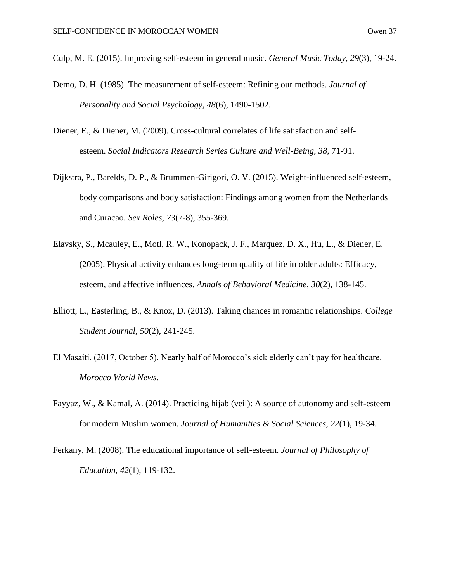- Culp, M. E. (2015). Improving self-esteem in general music. *General Music Today, 29*(3), 19-24.
- Demo, D. H. (1985). The measurement of self-esteem: Refining our methods. *Journal of Personality and Social Psychology, 48*(6), 1490-1502.
- Diener, E., & Diener, M. (2009). Cross-cultural correlates of life satisfaction and selfesteem. *Social Indicators Research Series Culture and Well-Being, 38*, 71-91.
- Dijkstra, P., Barelds, D. P., & Brummen-Girigori, O. V. (2015). Weight-influenced self-esteem, body comparisons and body satisfaction: Findings among women from the Netherlands and Curacao. *Sex Roles, 73*(7-8), 355-369.
- Elavsky, S., Mcauley, E., Motl, R. W., Konopack, J. F., Marquez, D. X., Hu, L., & Diener, E. (2005). Physical activity enhances long-term quality of life in older adults: Efficacy, esteem, and affective influences. *Annals of Behavioral Medicine, 30*(2), 138-145.
- Elliott, L., Easterling, B., & Knox, D. (2013). Taking chances in romantic relationships. *College Student Journal, 50*(2), 241-245.
- El Masaiti. (2017, October 5). Nearly half of Morocco's sick elderly can't pay for healthcare. *Morocco World News.*
- Fayyaz, W., & Kamal, A. (2014). Practicing hijab (veil): A source of autonomy and self-esteem for modern Muslim women*. Journal of Humanities & Social Sciences, 22*(1), 19-34.
- Ferkany, M. (2008). The educational importance of self-esteem. *Journal of Philosophy of Education, 42*(1), 119-132.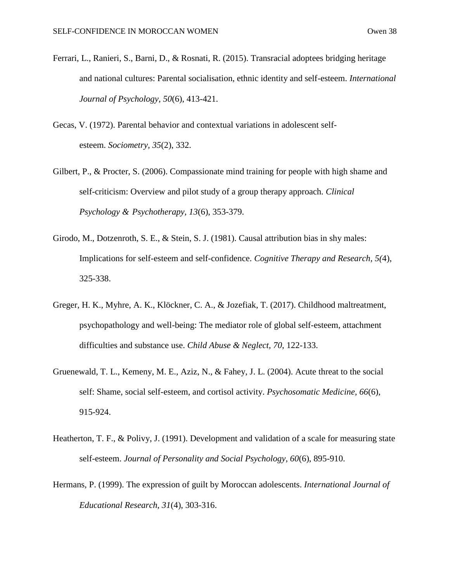- Ferrari, L., Ranieri, S., Barni, D., & Rosnati, R. (2015). Transracial adoptees bridging heritage and national cultures: Parental socialisation, ethnic identity and self-esteem. *International Journal of Psychology, 50*(6), 413-421.
- Gecas, V. (1972). Parental behavior and contextual variations in adolescent selfesteem. *Sociometry, 35*(2), 332.
- Gilbert, P., & Procter, S. (2006). Compassionate mind training for people with high shame and self-criticism: Overview and pilot study of a group therapy approach. *Clinical Psychology & Psychotherapy, 13*(6), 353-379.
- Girodo, M., Dotzenroth, S. E., & Stein, S. J. (1981). Causal attribution bias in shy males: Implications for self-esteem and self-confidence. *Cognitive Therapy and Research, 5(*4), 325-338.
- Greger, H. K., Myhre, A. K., Klöckner, C. A., & Jozefiak, T. (2017). Childhood maltreatment, psychopathology and well-being: The mediator role of global self-esteem, attachment difficulties and substance use. *Child Abuse & Neglect, 70*, 122-133.
- Gruenewald, T. L., Kemeny, M. E., Aziz, N., & Fahey, J. L. (2004). Acute threat to the social self: Shame, social self-esteem, and cortisol activity. *Psychosomatic Medicine, 66*(6), 915-924.
- Heatherton, T. F., & Polivy, J. (1991). Development and validation of a scale for measuring state self-esteem. *Journal of Personality and Social Psychology, 60*(6), 895-910.
- Hermans, P. (1999). The expression of guilt by Moroccan adolescents. *International Journal of Educational Research, 31*(4), 303-316.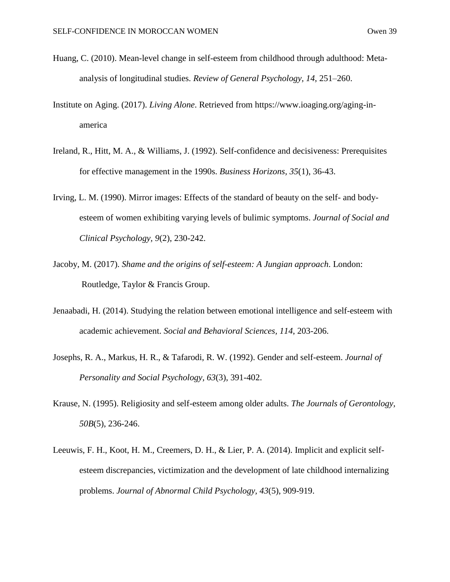- Huang, C. (2010). Mean-level change in self-esteem from childhood through adulthood: Metaanalysis of longitudinal studies. *Review of General Psychology, 14*, 251–260.
- Institute on Aging. (2017). *Living Alone*. Retrieved from https://www.ioaging.org/aging-inamerica
- Ireland, R., Hitt, M. A., & Williams, J. (1992). Self-confidence and decisiveness: Prerequisites for effective management in the 1990s. *Business Horizons, 35*(1), 36-43.
- Irving, L. M. (1990). Mirror images: Effects of the standard of beauty on the self- and bodyesteem of women exhibiting varying levels of bulimic symptoms. *Journal of Social and Clinical Psychology, 9*(2), 230-242.
- Jacoby, M. (2017). *Shame and the origins of self-esteem: A Jungian approach*. London: Routledge, Taylor & Francis Group.
- Jenaabadi, H. (2014). Studying the relation between emotional intelligence and self-esteem with academic achievement. *Social and Behavioral Sciences, 114*, 203-206.
- Josephs, R. A., Markus, H. R., & Tafarodi, R. W. (1992). Gender and self-esteem. *Journal of Personality and Social Psychology, 63*(3), 391-402.
- Krause, N. (1995). Religiosity and self-esteem among older adults. *The Journals of Gerontology, 50B*(5), 236-246.
- Leeuwis, F. H., Koot, H. M., Creemers, D. H., & Lier, P. A. (2014). Implicit and explicit selfesteem discrepancies, victimization and the development of late childhood internalizing problems. *Journal of Abnormal Child Psychology, 43*(5), 909-919.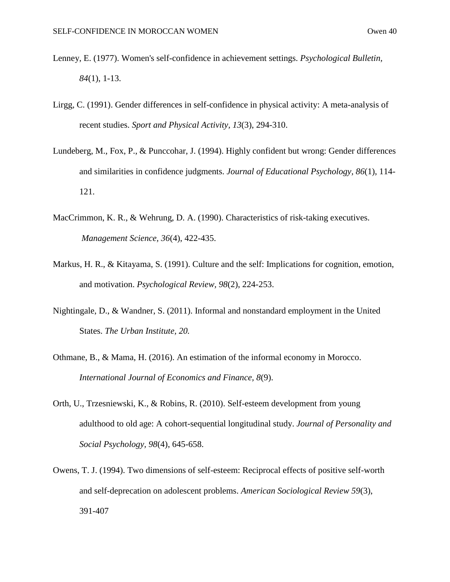- Lenney, E. (1977). Women's self-confidence in achievement settings. *Psychological Bulletin, 84*(1), 1-13.
- Lirgg, C. (1991). Gender differences in self-confidence in physical activity: A meta-analysis of recent studies. *Sport and Physical Activity, 13*(3), 294-310.
- Lundeberg, M., Fox, P., & Punccohar, J. (1994). Highly confident but wrong: Gender differences and similarities in confidence judgments. *Journal of Educational Psychology, 86*(1), 114- 121.
- MacCrimmon, K. R., & Wehrung, D. A. (1990). Characteristics of risk-taking executives. *Management Science, 36*(4), 422-435.
- Markus, H. R., & Kitayama, S. (1991). Culture and the self: Implications for cognition, emotion, and motivation. *Psychological Review, 98*(2), 224-253.
- Nightingale, D., & Wandner, S. (2011). Informal and nonstandard employment in the United States. *The Urban Institute, 20.*
- Othmane, B., & Mama, H. (2016). An estimation of the informal economy in Morocco. *International Journal of Economics and Finance, 8*(9).
- Orth, U., Trzesniewski, K., & Robins, R. (2010). Self-esteem development from young adulthood to old age: A cohort-sequential longitudinal study. *Journal of Personality and Social Psychology, 98*(4), 645-658.
- Owens, T. J. (1994). Two dimensions of self-esteem: Reciprocal effects of positive self-worth and self-deprecation on adolescent problems. *American Sociological Review 59*(3), 391-407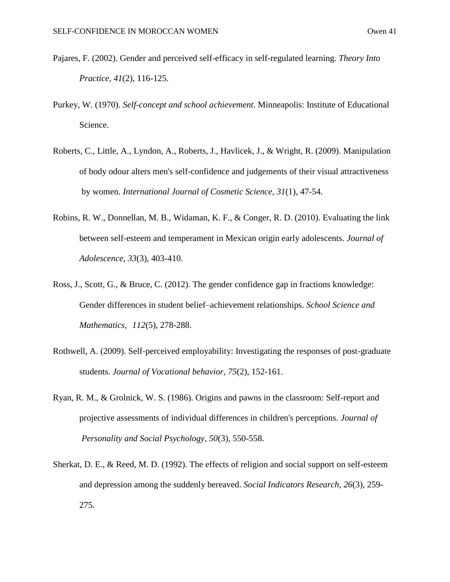- Pajares, F. (2002). Gender and perceived self-efficacy in self-regulated learning. *Theory Into Practice, 41*(2), 116-125.
- Purkey, W. (1970). *Self-concept and school achievement*. Minneapolis: Institute of Educational Science.
- Roberts, C., Little, A., Lyndon, A., Roberts, J., Havlicek, J., & Wright, R. (2009). Manipulation of body odour alters men's self-confidence and judgements of their visual attractiveness by women. *International Journal of Cosmetic Science, 31*(1), 47-54.
- Robins, R. W., Donnellan, M. B., Widaman, K. F., & Conger, R. D. (2010). Evaluating the link between self-esteem and temperament in Mexican origin early adolescents. *Journal of Adolescence, 33*(3), 403-410.
- Ross, J., Scott, G., & Bruce, C. (2012). The gender confidence gap in fractions knowledge: Gender differences in student belief–achievement relationships. *School Science and Mathematics, 112*(5), 278-288.
- Rothwell, A. (2009). Self-perceived employability: Investigating the responses of post-graduate students. *Journal of Vocational behavior, 75*(2), 152-161.
- Ryan, R. M., & Grolnick, W. S. (1986). Origins and pawns in the classroom: Self-report and projective assessments of individual differences in children's perceptions. *Journal of Personality and Social Psychology, 50*(3), 550-558.
- Sherkat, D. E., & Reed, M. D. (1992). The effects of religion and social support on self-esteem and depression among the suddenly bereaved. *Social Indicators Research, 26*(3), 259- 275.